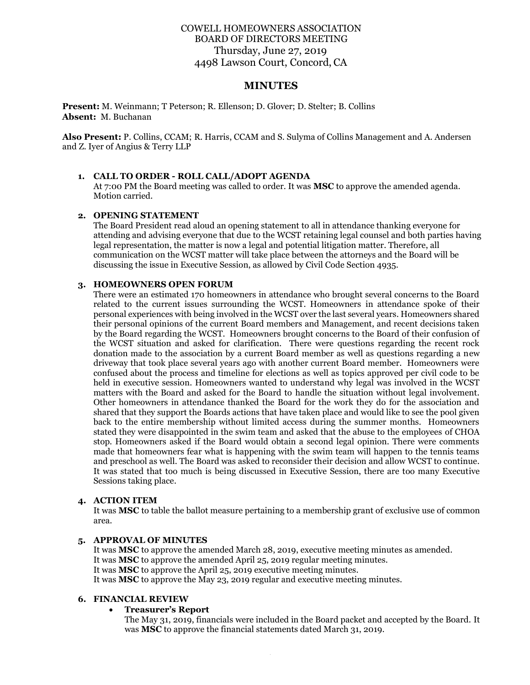# COWELL HOMEOWNERS ASSOCIATION BOARD OF DIRECTORS MEETING Thursday, June 27, 2019 4498 Lawson Court, Concord, CA

## **MINUTES**

**Present:** M. Weinmann; T Peterson; R. Ellenson; D. Glover; D. Stelter; B. Collins **Absent:** M. Buchanan

**Also Present:** P. Collins, CCAM; R. Harris, CCAM and S. Sulyma of Collins Management and A. Andersen and Z. Iyer of Angius & Terry LLP

#### **1. CALL TO ORDER - ROLL CALL/ADOPT AGENDA**

At 7:00 PM the Board meeting was called to order. It was **MSC** to approve the amended agenda. Motion carried.

#### **2. OPENING STATEMENT**

The Board President read aloud an opening statement to all in attendance thanking everyone for attending and advising everyone that due to the WCST retaining legal counsel and both parties having legal representation, the matter is now a legal and potential litigation matter. Therefore, all communication on the WCST matter will take place between the attorneys and the Board will be discussing the issue in Executive Session, as allowed by Civil Code Section 4935.

#### **3. HOMEOWNERS OPEN FORUM**

There were an estimated 170 homeowners in attendance who brought several concerns to the Board related to the current issues surrounding the WCST. Homeowners in attendance spoke of their personal experiences with being involved in the WCST over the last several years. Homeowners shared their personal opinions of the current Board members and Management, and recent decisions taken by the Board regarding the WCST. Homeowners brought concerns to the Board of their confusion of the WCST situation and asked for clarification. There were questions regarding the recent rock donation made to the association by a current Board member as well as questions regarding a new driveway that took place several years ago with another current Board member. Homeowners were confused about the process and timeline for elections as well as topics approved per civil code to be held in executive session. Homeowners wanted to understand why legal was involved in the WCST matters with the Board and asked for the Board to handle the situation without legal involvement. Other homeowners in attendance thanked the Board for the work they do for the association and shared that they support the Boards actions that have taken place and would like to see the pool given back to the entire membership without limited access during the summer months. Homeowners stated they were disappointed in the swim team and asked that the abuse to the employees of CHOA stop. Homeowners asked if the Board would obtain a second legal opinion. There were comments made that homeowners fear what is happening with the swim team will happen to the tennis teams and preschool as well. The Board was asked to reconsider their decision and allow WCST to continue. It was stated that too much is being discussed in Executive Session, there are too many Executive Sessions taking place.

### **4. ACTION ITEM**

It was **MSC** to table the ballot measure pertaining to a membership grant of exclusive use of common area.

## **5. APPROVAL OF MINUTES**

It was **MSC** to approve the amended March 28, 2019, executive meeting minutes as amended. It was **MSC** to approve the amended April 25, 2019 regular meeting minutes. It was **MSC** to approve the April 25, 2019 executive meeting minutes. It was **MSC** to approve the May 23, 2019 regular and executive meeting minutes.

### **6. FINANCIAL REVIEW**

#### • **Treasurer's Report**

The May 31, 2019, financials were included in the Board packet and accepted by the Board. It was **MSC** to approve the financial statements dated March 31, 2019.